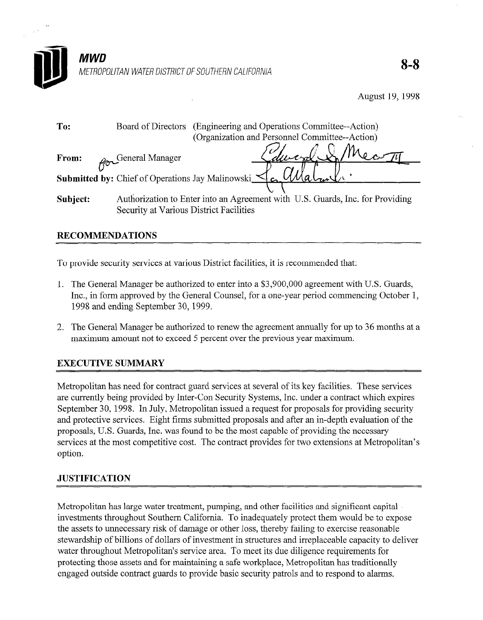

| To:      | (Engineering and Operations Committee--Action)<br>Board of Directors          |
|----------|-------------------------------------------------------------------------------|
|          | (Organization and Personnel Committee--Action)                                |
| From:    | Edward & Mont<br>General Manager                                              |
|          | <b>Submitted by:</b> Chief of Operations Jay Malinowski $\leq$                |
|          |                                                                               |
| Subject: | Authorization to Enter into an Agreement with U.S. Guards, Inc. for Providing |
|          | Security at Various District Facilities                                       |

## RECOMMENDATIONS

To provide security services at various District facilities, it is recommended that:

- 1. The General Manager be authorized to enter into a \$3,900,000 agreement with U.S. Guards, Inc., in form approved by the General Counsel, for a one-year period commencing October 1, 1998 and ending September 30,1999.
- 2. The General Manager be authorized to renew the agreement annually for up to 36 months at a maximum amount not to exceed 5 percent over the previous year maximum.

# EXECUTIVE SUMMARY

Metropolitan has need for contract guard services at several of its key facilities. These services are currently being provided by Inter-Con Security Systems, Inc. under a contract which expires September 30, 1998. In July, Metropolitan issued a request for proposals for providing security and protective services. Eight firms submitted proposals and after an in-depth evaluation of the proposals, U.S. Guards, Inc. was found to be the most capable of providing the necessary services at the most competitive cost. The contract provides for two extensions at Metropolitan's option.

## **JUSTIFICATION**

Metropolitan has large water treatment, pumping, and other facilities and significant capital investments throughout Southern California. To inadequately protect them would be to expose the assets to unnecessary risk of damage or other loss, thereby failing to exercise reasonable stewardship of billions of dollars of investment in structures and irreplaceable capacity to deliver water throughout Metropolitan's service area. To meet its due diligence requirements for protecting those assets and for maintaining a safe workplace, Metropolitan has traditionally engaged outside contract guards to provide basic security patrols and to respond to alarms.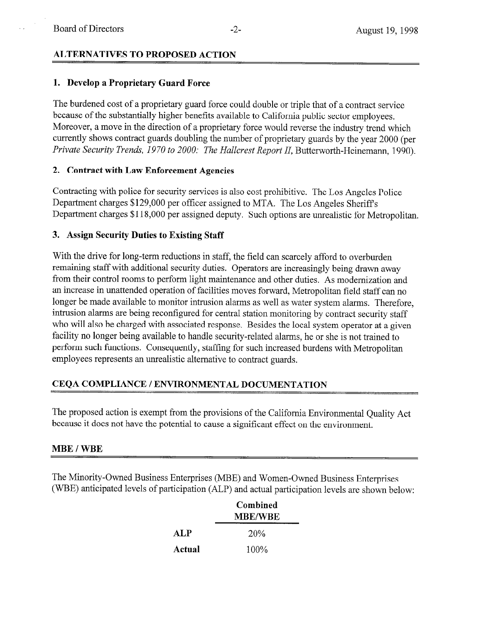### ALTERNATIVES TO PROPOSED ACTION

### 1. Develop a Proprietary Guard Force

The burdened cost of a proprietary guard force could double or triple that of a contract service because of the substantially higher benefits available to California public sector employees. Moreover, a move in the direction of a proprietary force would reverse the industry trend which currently shows contract guards doubling the number of proprietary guards by the year 2000 (per Private Security Trends, 1970 to 2000: The Hallcrest Report II, Butterworth-Heinemann, 1990).

#### 2. Contract with Law Enforcement Agencies

Contracting with police for security services is also cost prohibitive. The Los Angeles Police Department charges \$129,000 per officer assigned to MTA. The Los Angeles Sheriff's Department charges \$118,000 per assigned deputy. Such options are unrealistic for Metropolitan.

### 3. Assign Security Duties to Existing Staff

With the drive for long-term reductions in staff, the field can scarcely afford to overburden remaining staff with additional security duties. Operators are increasingly being drawn away from their control rooms to perform light maintenance and other duties. As modernization and an increase in unattended operation of facilities moves forward, Metropolitan field staff can no longer be made available to monitor intrusion alarms as well as water system alarms. Therefore, intrusion alarms are being reconfigured for central station monitoring by contract security staff who will also be charged with associated response. Besides the local system operator at a given facility no longer being available to handle security-related alarms, he or she is not trained to perform such functions. Consequently, staffing for such increased burdens with Metropolitan employees represents an unrealistic alternative to contract guards.

## CEQA COMPLIANCE / ENVIRONMENTAL DOCUMENTATION

The proposed action is exempt from the provisions of the California Environmental Quality Act because it does not have the potential to cause a significant effect on the environment.

#### MBE / WBE

The Minority-Owned Business Enterprises (MBE) and Women-Owned Business Enterprises (WBE) anticipated levels of participation (ALP) and actual participation levels are shown below:

|        | Combined<br><b>MBE/WBE</b> |  |
|--------|----------------------------|--|
| ALP    | 20%                        |  |
| Actual | $100\%$                    |  |